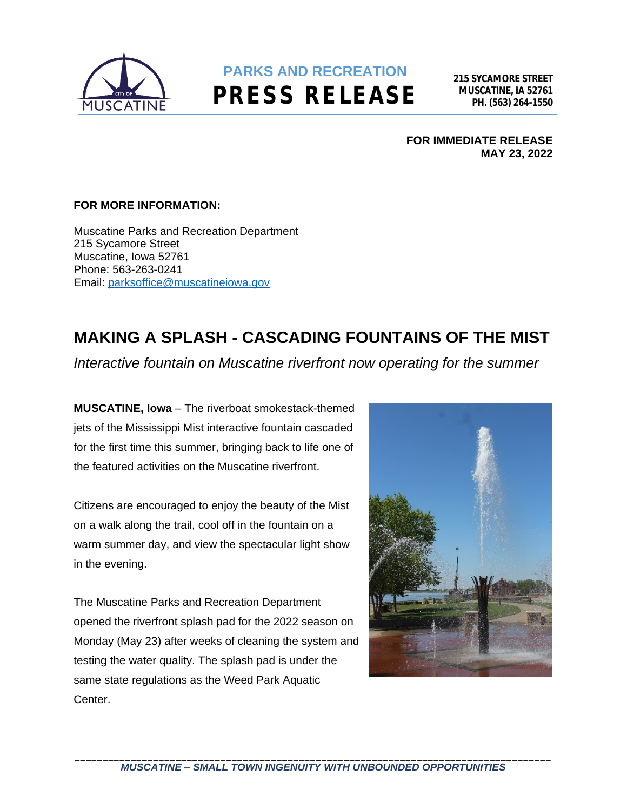

## **PARKS AND RECREATION PRESS RELEASE**

**215 SYCAMORE STREET MUSCATINE, IA 52761 PH. (563) 264-1550**

**FOR IMMEDIATE RELEASE MAY 23, 2022**

## **FOR MORE INFORMATION:**

Muscatine Parks and Recreation Department 215 Sycamore Street Muscatine, Iowa 52761 Phone: 563-263-0241 Email: [parksoffice@muscatineiowa.gov](mailto:parksoffice@muscatineiowa.gov)

## **MAKING A SPLASH - CASCADING FOUNTAINS OF THE MIST**

*Interactive fountain on Muscatine riverfront now operating for the summer*

**MUSCATINE, Iowa** – The riverboat smokestack-themed jets of the Mississippi Mist interactive fountain cascaded for the first time this summer, bringing back to life one of the featured activities on the Muscatine riverfront.

Citizens are encouraged to enjoy the beauty of the Mist on a walk along the trail, cool off in the fountain on a warm summer day, and view the spectacular light show in the evening.

The Muscatine Parks and Recreation Department opened the riverfront splash pad for the 2022 season on Monday (May 23) after weeks of cleaning the system and testing the water quality. The splash pad is under the same state regulations as the Weed Park Aquatic Center.